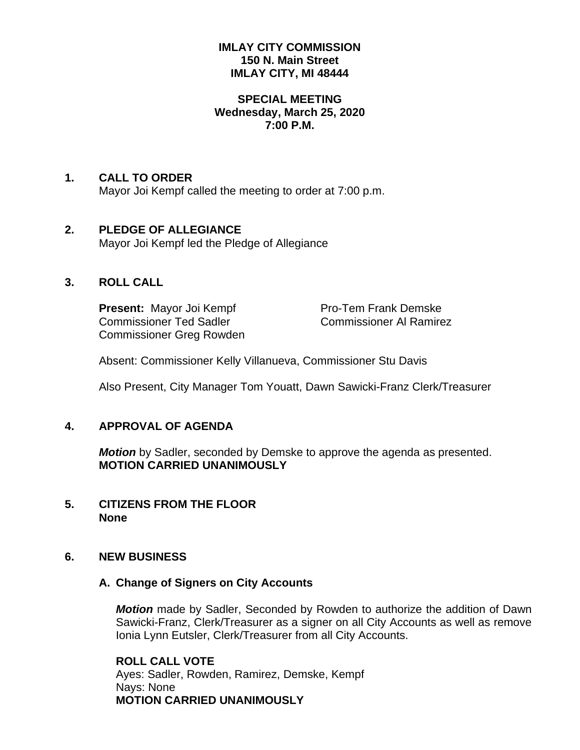#### **IMLAY CITY COMMISSION 150 N. Main Street IMLAY CITY, MI 48444**

### **SPECIAL MEETING Wednesday, March 25, 2020 7:00 P.M.**

## **1. CALL TO ORDER**

Mayor Joi Kempf called the meeting to order at 7:00 p.m.

### **2. PLEDGE OF ALLEGIANCE** Mayor Joi Kempf led the Pledge of Allegiance

### **3. ROLL CALL**

**Present:** Mayor Joi Kempf Pro-Tem Frank Demske Commissioner Ted Sadler Commissioner Al Ramirez Commissioner Greg Rowden

Absent: Commissioner Kelly Villanueva, Commissioner Stu Davis

Also Present, City Manager Tom Youatt, Dawn Sawicki-Franz Clerk/Treasurer

### **4. APPROVAL OF AGENDA**

*Motion* by Sadler, seconded by Demske to approve the agenda as presented. **MOTION CARRIED UNANIMOUSLY**

**5. CITIZENS FROM THE FLOOR None**

### **6. NEW BUSINESS**

#### **A. Change of Signers on City Accounts**

*Motion* made by Sadler, Seconded by Rowden to authorize the addition of Dawn Sawicki-Franz, Clerk/Treasurer as a signer on all City Accounts as well as remove Ionia Lynn Eutsler, Clerk/Treasurer from all City Accounts.

**ROLL CALL VOTE** Ayes: Sadler, Rowden, Ramirez, Demske, Kempf Nays: None **MOTION CARRIED UNANIMOUSLY**